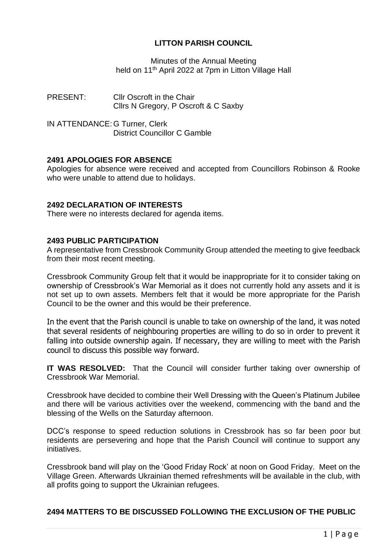# **LITTON PARISH COUNCIL**

Minutes of the Annual Meeting held on 11<sup>th</sup> April 2022 at 7pm in Litton Village Hall

PRESENT: Cllr Oscroft in the Chair Cllrs N Gregory, P Oscroft & C Saxby

IN ATTENDANCE: G Turner, Clerk District Councillor C Gamble

## **2491 APOLOGIES FOR ABSENCE**

Apologies for absence were received and accepted from Councillors Robinson & Rooke who were unable to attend due to holidays.

## **2492 DECLARATION OF INTERESTS**

There were no interests declared for agenda items.

## **2493 PUBLIC PARTICIPATION**

A representative from Cressbrook Community Group attended the meeting to give feedback from their most recent meeting.

Cressbrook Community Group felt that it would be inappropriate for it to consider taking on ownership of Cressbrook's War Memorial as it does not currently hold any assets and it is not set up to own assets. Members felt that it would be more appropriate for the Parish Council to be the owner and this would be their preference.

In the event that the Parish council is unable to take on ownership of the land, it was noted that several residents of neighbouring properties are willing to do so in order to prevent it falling into outside ownership again. If necessary, they are willing to meet with the Parish council to discuss this possible way forward.

**IT WAS RESOLVED:** That the Council will consider further taking over ownership of Cressbrook War Memorial.

Cressbrook have decided to combine their Well Dressing with the Queen's Platinum Jubilee and there will be various activities over the weekend, commencing with the band and the blessing of the Wells on the Saturday afternoon.

DCC's response to speed reduction solutions in Cressbrook has so far been poor but residents are persevering and hope that the Parish Council will continue to support any initiatives.

Cressbrook band will play on the 'Good Friday Rock' at noon on Good Friday. Meet on the Village Green. Afterwards Ukrainian themed refreshments will be available in the club, with all profits going to support the Ukrainian refugees.

# **2494 MATTERS TO BE DISCUSSED FOLLOWING THE EXCLUSION OF THE PUBLIC**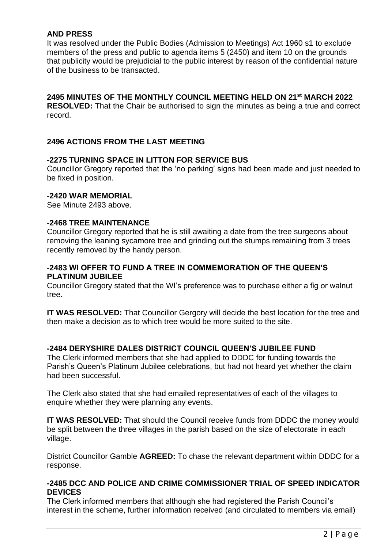## **AND PRESS**

It was resolved under the Public Bodies (Admission to Meetings) Act 1960 s1 to exclude members of the press and public to agenda items 5 (2450) and item 10 on the grounds that publicity would be prejudicial to the public interest by reason of the confidential nature of the business to be transacted.

# **2495 MINUTES OF THE MONTHLY COUNCIL MEETING HELD ON 21 st MARCH 2022**

**RESOLVED:** That the Chair be authorised to sign the minutes as being a true and correct record.

## **2496 ACTIONS FROM THE LAST MEETING**

## **-2275 TURNING SPACE IN LITTON FOR SERVICE BUS**

Councillor Gregory reported that the 'no parking' signs had been made and just needed to be fixed in position.

#### **-2420 WAR MEMORIAL**

See Minute 2493 above.

#### **-2468 TREE MAINTENANCE**

Councillor Gregory reported that he is still awaiting a date from the tree surgeons about removing the leaning sycamore tree and grinding out the stumps remaining from 3 trees recently removed by the handy person.

## **-2483 WI OFFER TO FUND A TREE IN COMMEMORATION OF THE QUEEN'S PLATINUM JUBILEE**

Councillor Gregory stated that the WI's preference was to purchase either a fig or walnut tree.

**IT WAS RESOLVED:** That Councillor Gergory will decide the best location for the tree and then make a decision as to which tree would be more suited to the site.

## **-2484 DERYSHIRE DALES DISTRICT COUNCIL QUEEN'S JUBILEE FUND**

The Clerk informed members that she had applied to DDDC for funding towards the Parish's Queen's Platinum Jubilee celebrations, but had not heard yet whether the claim had been successful.

The Clerk also stated that she had emailed representatives of each of the villages to enquire whether they were planning any events.

**IT WAS RESOLVED:** That should the Council receive funds from DDDC the money would be split between the three villages in the parish based on the size of electorate in each village.

District Councillor Gamble **AGREED:** To chase the relevant department within DDDC for a response.

#### **-2485 DCC AND POLICE AND CRIME COMMISSIONER TRIAL OF SPEED INDICATOR DEVICES**

The Clerk informed members that although she had registered the Parish Council's interest in the scheme, further information received (and circulated to members via email)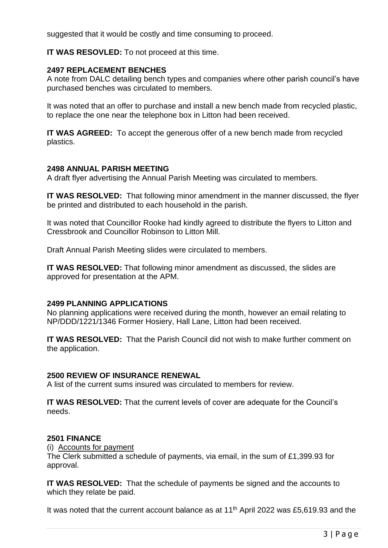suggested that it would be costly and time consuming to proceed.

## **IT WAS RESOVLED:** To not proceed at this time.

## **2497 REPLACEMENT BENCHES**

A note from DALC detailing bench types and companies where other parish council's have purchased benches was circulated to members.

It was noted that an offer to purchase and install a new bench made from recycled plastic, to replace the one near the telephone box in Litton had been received.

**IT WAS AGREED:** To accept the generous offer of a new bench made from recycled plastics.

## **2498 ANNUAL PARISH MEETING**

A draft flyer advertising the Annual Parish Meeting was circulated to members.

**IT WAS RESOLVED:** That following minor amendment in the manner discussed, the flyer be printed and distributed to each household in the parish.

It was noted that Councillor Rooke had kindly agreed to distribute the flyers to Litton and Cressbrook and Councillor Robinson to Litton Mill.

Draft Annual Parish Meeting slides were circulated to members.

**IT WAS RESOLVED:** That following minor amendment as discussed, the slides are approved for presentation at the APM.

## **2499 PLANNING APPLICATIONS**

No planning applications were received during the month, however an email relating to NP/DDD/1221/1346 Former Hosiery, Hall Lane, Litton had been received.

**IT WAS RESOLVED:** That the Parish Council did not wish to make further comment on the application.

## **2500 REVIEW OF INSURANCE RENEWAL**

A list of the current sums insured was circulated to members for review.

**IT WAS RESOLVED:** That the current levels of cover are adequate for the Council's needs.

## **2501 FINANCE**

(i) Accounts for payment

The Clerk submitted a schedule of payments, via email, in the sum of £1,399.93 for approval.

**IT WAS RESOLVED:** That the schedule of payments be signed and the accounts to which they relate be paid.

It was noted that the current account balance as at  $11<sup>th</sup>$  April 2022 was £5,619.93 and the